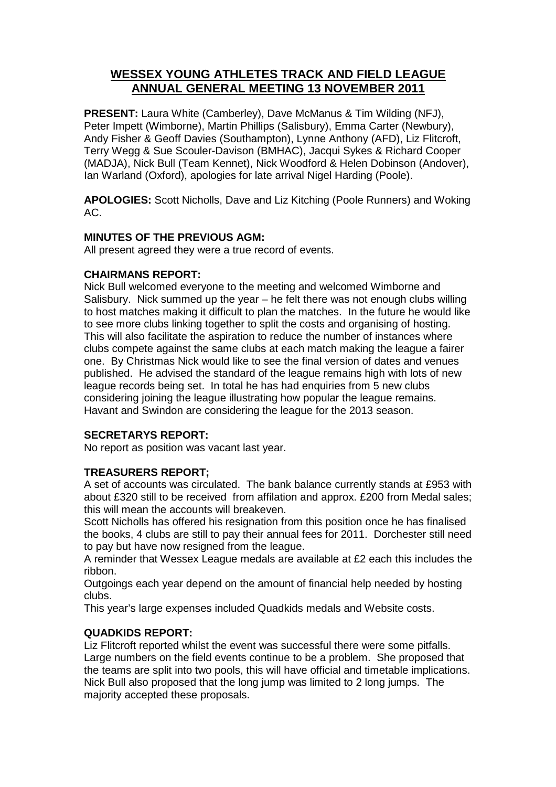# **WESSEX YOUNG ATHLETES TRACK AND FIELD LEAGUE ANNUAL GENERAL MEETING 13 NOVEMBER 2011**

**PRESENT:** Laura White (Camberley), Dave McManus & Tim Wilding (NFJ), Peter Impett (Wimborne), Martin Phillips (Salisbury), Emma Carter (Newbury), Andy Fisher & Geoff Davies (Southampton), Lynne Anthony (AFD), Liz Flitcroft, Terry Wegg & Sue Scouler-Davison (BMHAC), Jacqui Sykes & Richard Cooper (MADJA), Nick Bull (Team Kennet), Nick Woodford & Helen Dobinson (Andover), Ian Warland (Oxford), apologies for late arrival Nigel Harding (Poole).

**APOLOGIES:** Scott Nicholls, Dave and Liz Kitching (Poole Runners) and Woking AC.

## **MINUTES OF THE PREVIOUS AGM:**

All present agreed they were a true record of events.

## **CHAIRMANS REPORT:**

Nick Bull welcomed everyone to the meeting and welcomed Wimborne and Salisbury. Nick summed up the year – he felt there was not enough clubs willing to host matches making it difficult to plan the matches. In the future he would like to see more clubs linking together to split the costs and organising of hosting. This will also facilitate the aspiration to reduce the number of instances where clubs compete against the same clubs at each match making the league a fairer one. By Christmas Nick would like to see the final version of dates and venues published. He advised the standard of the league remains high with lots of new league records being set. In total he has had enquiries from 5 new clubs considering joining the league illustrating how popular the league remains. Havant and Swindon are considering the league for the 2013 season.

# **SECRETARYS REPORT:**

No report as position was vacant last year.

# **TREASURERS REPORT;**

A set of accounts was circulated. The bank balance currently stands at £953 with about £320 still to be received from affilation and approx. £200 from Medal sales; this will mean the accounts will breakeven.

Scott Nicholls has offered his resignation from this position once he has finalised the books, 4 clubs are still to pay their annual fees for 2011. Dorchester still need to pay but have now resigned from the league.

A reminder that Wessex League medals are available at £2 each this includes the ribbon.

Outgoings each year depend on the amount of financial help needed by hosting clubs.

This year's large expenses included Quadkids medals and Website costs.

# **QUADKIDS REPORT:**

Liz Flitcroft reported whilst the event was successful there were some pitfalls. Large numbers on the field events continue to be a problem. She proposed that the teams are split into two pools, this will have official and timetable implications. Nick Bull also proposed that the long jump was limited to 2 long jumps. The majority accepted these proposals.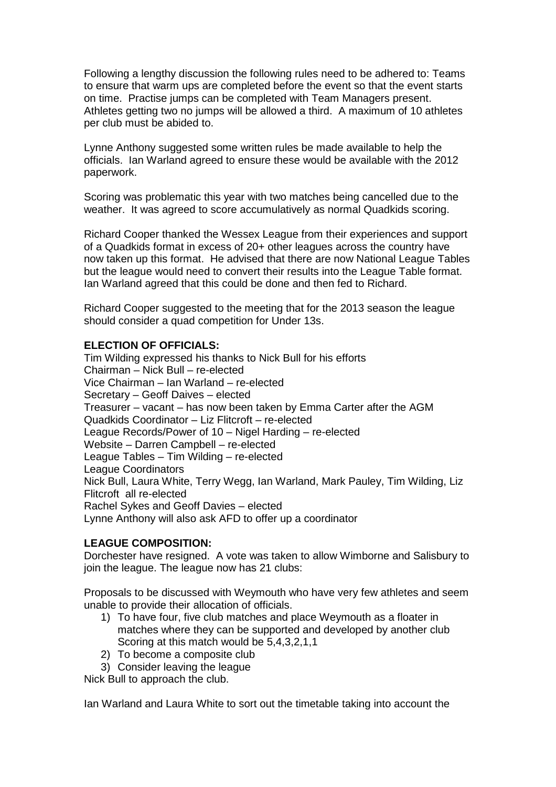Following a lengthy discussion the following rules need to be adhered to: Teams to ensure that warm ups are completed before the event so that the event starts on time. Practise jumps can be completed with Team Managers present. Athletes getting two no jumps will be allowed a third. A maximum of 10 athletes per club must be abided to.

Lynne Anthony suggested some written rules be made available to help the officials. Ian Warland agreed to ensure these would be available with the 2012 paperwork.

Scoring was problematic this year with two matches being cancelled due to the weather. It was agreed to score accumulatively as normal Quadkids scoring.

Richard Cooper thanked the Wessex League from their experiences and support of a Quadkids format in excess of 20+ other leagues across the country have now taken up this format. He advised that there are now National League Tables but the league would need to convert their results into the League Table format. Ian Warland agreed that this could be done and then fed to Richard.

Richard Cooper suggested to the meeting that for the 2013 season the league should consider a quad competition for Under 13s.

## **ELECTION OF OFFICIALS:**

Tim Wilding expressed his thanks to Nick Bull for his efforts Chairman – Nick Bull – re-elected Vice Chairman – Ian Warland – re-elected Secretary – Geoff Daives – elected Treasurer – vacant – has now been taken by Emma Carter after the AGM Quadkids Coordinator – Liz Flitcroft – re-elected League Records/Power of 10 – Nigel Harding – re-elected Website – Darren Campbell – re-elected League Tables – Tim Wilding – re-elected League Coordinators Nick Bull, Laura White, Terry Wegg, Ian Warland, Mark Pauley, Tim Wilding, Liz Flitcroft all re-elected Rachel Sykes and Geoff Davies – elected Lynne Anthony will also ask AFD to offer up a coordinator

#### **LEAGUE COMPOSITION:**

Dorchester have resigned. A vote was taken to allow Wimborne and Salisbury to join the league. The league now has 21 clubs:

Proposals to be discussed with Weymouth who have very few athletes and seem unable to provide their allocation of officials.

- 1) To have four, five club matches and place Weymouth as a floater in matches where they can be supported and developed by another club Scoring at this match would be 5,4,3,2,1,1
- 2) To become a composite club
- 3) Consider leaving the league

Nick Bull to approach the club.

Ian Warland and Laura White to sort out the timetable taking into account the